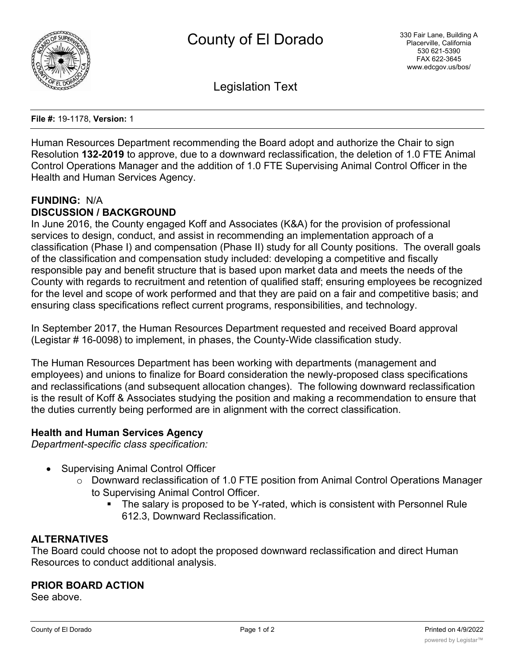

Legislation Text

**File #:** 19-1178, **Version:** 1

Human Resources Department recommending the Board adopt and authorize the Chair to sign Resolution **132-2019** to approve, due to a downward reclassification, the deletion of 1.0 FTE Animal Control Operations Manager and the addition of 1.0 FTE Supervising Animal Control Officer in the Health and Human Services Agency.

# **FUNDING:** N/A **DISCUSSION / BACKGROUND**

In June 2016, the County engaged Koff and Associates (K&A) for the provision of professional services to design, conduct, and assist in recommending an implementation approach of a classification (Phase I) and compensation (Phase II) study for all County positions. The overall goals of the classification and compensation study included: developing a competitive and fiscally responsible pay and benefit structure that is based upon market data and meets the needs of the County with regards to recruitment and retention of qualified staff; ensuring employees be recognized for the level and scope of work performed and that they are paid on a fair and competitive basis; and ensuring class specifications reflect current programs, responsibilities, and technology.

In September 2017, the Human Resources Department requested and received Board approval (Legistar # 16-0098) to implement, in phases, the County-Wide classification study.

The Human Resources Department has been working with departments (management and employees) and unions to finalize for Board consideration the newly-proposed class specifications and reclassifications (and subsequent allocation changes). The following downward reclassification is the result of Koff & Associates studying the position and making a recommendation to ensure that the duties currently being performed are in alignment with the correct classification.

# **Health and Human Services Agency**

*Department-specific class specification:*

- Supervising Animal Control Officer
	- o Downward reclassification of 1.0 FTE position from Animal Control Operations Manager to Supervising Animal Control Officer.
		- § The salary is proposed to be Y-rated, which is consistent with Personnel Rule 612.3, Downward Reclassification.

# **ALTERNATIVES**

The Board could choose not to adopt the proposed downward reclassification and direct Human Resources to conduct additional analysis.

#### **PRIOR BOARD ACTION**

See above.